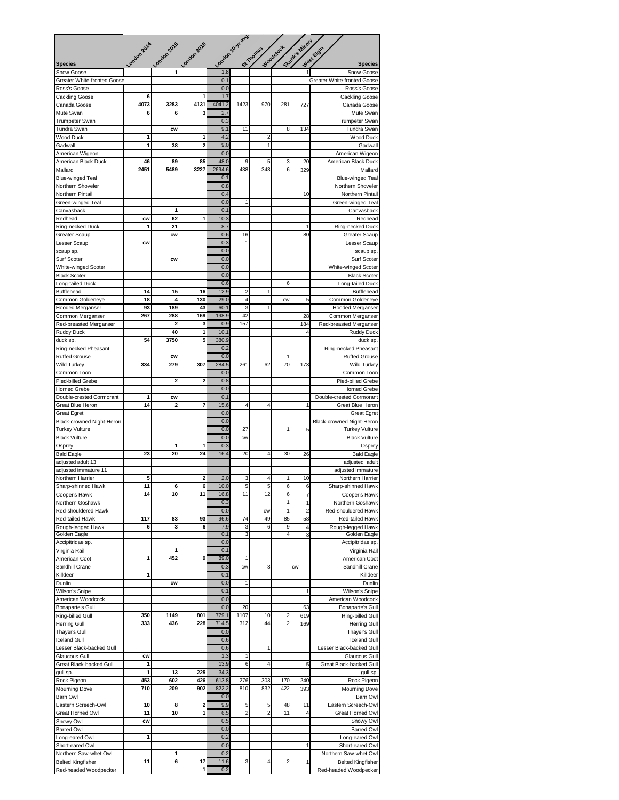|                                              |             |                |                         |                | London 10-y avg         |                                                        |                |                      |                                              |  |
|----------------------------------------------|-------------|----------------|-------------------------|----------------|-------------------------|--------------------------------------------------------|----------------|----------------------|----------------------------------------------|--|
|                                              | London 2014 | London 2015    | London 2016             |                |                         | Stunt's Misery<br>Woodstock<br>St Thomas<br>West Eight |                |                      |                                              |  |
| <b>Species</b>                               |             |                |                         |                |                         |                                                        |                |                      | <b>Species</b>                               |  |
| <b>Snow Goose</b>                            |             | $\overline{1}$ |                         | 1.8            |                         |                                                        |                | 1                    | Snow Goose                                   |  |
| <b>Greater White-fronted Goose</b>           |             |                |                         | 0.1            |                         |                                                        |                |                      | Greater White-fronted Goose                  |  |
| Ross's Goose                                 | 6           |                | 1                       | 0.0<br>1.7     |                         |                                                        |                |                      | Ross's Goose                                 |  |
| Cackling Goose<br>Canada Goose               | 4073        | 3283           | 4131                    | 4041.2         | 1423                    | 970                                                    | 281            | 727                  | Cackling Goose<br>Canada Goose               |  |
| Mute Swan                                    | 6           | 6              | 3                       | 2.7            |                         |                                                        |                |                      | Mute Swan                                    |  |
| <b>Trumpeter Swan</b>                        |             |                |                         | 0.3            |                         |                                                        |                |                      | <b>Trumpeter Swan</b>                        |  |
| Tundra Swan                                  |             | <b>CW</b>      |                         | 9.1            | 11                      |                                                        | 8              | 134                  | Tundra Swan                                  |  |
| Wood Duck                                    | 1           |                | 1                       | 4.2            |                         | $\overline{c}$                                         |                |                      | Wood Duck                                    |  |
| Gadwall                                      | 1           | 38             | $\overline{a}$          | 9.0            |                         | $\mathbf{1}$                                           |                |                      | Gadwall                                      |  |
| American Wigeon<br>American Black Duck       | 46          | 89             | 85                      | 0.0<br>48.0    | 9                       | 5                                                      | 3              | 20                   | American Wigeon<br>American Black Duck       |  |
| Mallard                                      | 2451        | 5489           | 3227                    | 2694.6         | 438                     | 343                                                    | 6              | 329                  | Mallard                                      |  |
| <b>Blue-winged Teal</b>                      |             |                |                         | 0.1            |                         |                                                        |                |                      | <b>Blue-winged Teal</b>                      |  |
| Northern Shoveler                            |             |                |                         | 0.8            |                         |                                                        |                |                      | Northern Shoveler                            |  |
| Northern Pintail                             |             |                |                         | 0.4            |                         |                                                        |                | 10                   | Northern Pintail                             |  |
| Green-winged Teal                            |             |                |                         | 0.0            | 1                       |                                                        |                |                      | Green-winged Teal                            |  |
| Canvasback<br>Redhead                        | CW          | 1<br>62        | 1                       | 0.1<br>10.3    |                         |                                                        |                |                      | Canvasback<br>Redhead                        |  |
| Ring-necked Duck                             | 1           | 21             |                         | 8.7            |                         |                                                        |                | 1                    | Ring-necked Duck                             |  |
| <b>Greater Scaup</b>                         |             | <b>CW</b>      |                         | 0.6            | 16                      |                                                        |                | 80                   | Greater Scaup                                |  |
| Lesser Scaup                                 | <b>CW</b>   |                |                         | 0.3            | 1                       |                                                        |                |                      | Lesser Scaup                                 |  |
| scaup sp.                                    |             |                |                         | 0.0            |                         |                                                        |                |                      | scaup sp                                     |  |
| Surf Scoter                                  |             | <b>CW</b>      |                         | 0.0            |                         |                                                        |                |                      | Surf Scoter                                  |  |
| White-winged Scoter                          |             |                |                         | 0.0            |                         |                                                        |                |                      | White-winged Scoter                          |  |
| <b>Black Scoter</b><br>Long-tailed Duck      |             |                |                         | 0.0<br>0.6     |                         |                                                        | 6              |                      | <b>Black Scoter</b><br>Long-tailed Duck      |  |
| <b>Bufflehead</b>                            | 14          | 15             | 16                      | 12.9           | $\overline{\mathbf{c}}$ | 1                                                      |                |                      | Bufflehead                                   |  |
| Common Goldeneye                             | 18          | 4              | 130                     | 29.0           | 4                       |                                                        | <b>CW</b>      | 5                    | Common Goldeneye                             |  |
| <b>Hooded Merganser</b>                      | 93          | 189            | 43                      | 60.1           | 3                       | 1                                                      |                |                      | <b>Hooded Merganser</b>                      |  |
| Common Merganser                             | 267         | 288            | 169                     | 198.9          | 42                      |                                                        |                | 28                   | Common Merganser                             |  |
| Red-breasted Merganser                       |             | 2              | 3                       | 0.9            | 157                     |                                                        |                | 184                  | Red-breasted Merganser                       |  |
| <b>Ruddy Duck</b>                            | 54          | 40<br>3750     | 1<br>5                  | 10.1           |                         |                                                        |                | 4                    | <b>Ruddy Duck</b>                            |  |
| duck sp.<br>Ring-necked Pheasant             |             |                |                         | 380.9<br>0.2   |                         |                                                        |                |                      | duck sp.<br>Ring-necked Pheasant             |  |
| <b>Ruffed Grouse</b>                         |             | <b>CW</b>      |                         | 0.0            |                         |                                                        | 1              |                      | <b>Ruffed Grouse</b>                         |  |
| Wild Turkey                                  | 334         | 279            | 307                     | 284.5          | 261                     | 62                                                     | 70             | 173                  | Wild Turkey                                  |  |
| Common Loon                                  |             |                |                         | 0.0            |                         |                                                        |                |                      | Common Loon                                  |  |
| Pied-billed Grebe                            |             | 2              | $\overline{\mathbf{2}}$ | 0.8            |                         |                                                        |                |                      | Pied-billed Grebe                            |  |
| <b>Horned Grebe</b>                          |             |                |                         | 0.0            |                         |                                                        |                |                      | <b>Horned Grebe</b>                          |  |
| Double-crested Cormorant<br>Great Blue Heron | 1<br>14     | <b>CW</b><br>2 | 7                       | 0.1<br>15.6    | 4                       | 4                                                      |                | 1                    | Double-crested Cormorant<br>Great Blue Heron |  |
| <b>Great Egret</b>                           |             |                |                         | 0.0            |                         |                                                        |                |                      | <b>Great Egret</b>                           |  |
| Black-crowned Night-Heron                    |             |                |                         | 0.0            |                         |                                                        |                |                      | Black-crowned Night-Heron                    |  |
| <b>Turkey Vulture</b>                        |             |                |                         | 0.0            | 27                      |                                                        | 1              | 5                    | <b>Turkey Vulture</b>                        |  |
| <b>Black Vulture</b>                         |             |                |                         | 0.0            | <b>CW</b>               |                                                        |                |                      | <b>Black Vulture</b>                         |  |
| Osprey                                       | 23          | 1<br>20        | 1<br>24                 | 0.3<br>16.4    | 20                      | 4                                                      | 30             |                      | Osprey                                       |  |
| <b>Bald Eagle</b><br>adjusted adult 13       |             |                |                         |                |                         |                                                        |                | 26                   | <b>Bald Eagle</b><br>adjusted adult          |  |
| adjusted immature 11                         |             |                |                         |                |                         |                                                        |                |                      | adjusted immature                            |  |
| Northern Harrier                             | 5           |                | 2                       | 2.0            | 3                       | 4                                                      | 1              | 10                   | Northern Harrier                             |  |
| Sharp-shinned Hawk                           | 11          | 6              | 6                       | 10.0           | 5                       | 5                                                      | 6              | 6                    | Sharp-shinned Hawk                           |  |
| Cooper's Hawk                                | 14          | 10             | 11                      | 16.8           | 11                      | 12                                                     | 6              | $\overline{7}$       | Cooper's Hawk                                |  |
| Northern Goshawk                             |             |                |                         | 0.3            |                         |                                                        | 1              | $\mathbf{1}$         | Northern Goshawk                             |  |
| Red-shouldered Hawk<br>Red-tailed Hawk       | 117         | 83             | 93                      | 0.0<br>96.6    | 74                      | CW<br>49                                               | 1<br>85        | $\overline{2}$<br>58 | Red-shouldered Hawk<br>Red-tailed Hawk       |  |
| Rough-legged Hawk                            | 6           | 3              | 6                       | 7.9            | 3                       | 6                                                      | 9              | 4                    | Rough-legged Hawk                            |  |
| Golden Eagle                                 |             |                |                         | 0.1            | 3                       |                                                        | 4              | 3                    | Golden Eagle                                 |  |
| Accipitridae sp.                             |             |                |                         | 0.0            |                         |                                                        |                |                      | Accipitridae sp                              |  |
| Virginia Rail                                |             | 1              |                         | 0.1            |                         |                                                        |                |                      | Virginia Rail                                |  |
| American Coot                                | 1           | 452            | 9                       | 89.0           | 1                       |                                                        |                |                      | American Coot                                |  |
| Sandhill Crane<br>Killdeer                   | 1           |                |                         | 0.3<br>0.1     | <b>CW</b>               | 3                                                      |                | cw                   | Sandhill Crane<br>Killdeer                   |  |
| Dunlin                                       |             | <b>CW</b>      |                         | 0.0            | 1                       |                                                        |                |                      | Dunlin                                       |  |
| Wilson's Snipe                               |             |                |                         | 0.1            |                         |                                                        |                | 1                    | Wilson's Snipe                               |  |
| American Woodcock                            |             |                |                         | 0.0            |                         |                                                        |                |                      | American Woodcock                            |  |
| Bonaparte's Gull                             |             |                |                         | 0.0            | 20                      |                                                        |                | 63                   | Bonaparte's Gull                             |  |
| Ring-billed Gull                             | 350         | 1149           | 801                     | 779.1          | 1107                    | 10                                                     | $\overline{c}$ | 619                  | Ring-billed Gull                             |  |
| <b>Herring Gull</b><br>Thayer's Gull         | 333         | 436            | 228                     | 714.5<br>0.0   | 312                     | 44                                                     | $\overline{2}$ | 169                  | <b>Herring Gull</b><br>Thayer's Gull         |  |
| <b>Iceland Gull</b>                          |             |                |                         | 0.6            |                         |                                                        |                |                      | <b>Iceland Gull</b>                          |  |
| Lesser Black-backed Gull                     |             |                |                         | 0.6            |                         | 1                                                      |                |                      | Lesser Black-backed Gull                     |  |
| Glaucous Gull                                | <b>CW</b>   |                |                         | 1.3            | 1                       |                                                        |                |                      | Glaucous Gull                                |  |
| Great Black-backed Gull                      | 1           |                |                         | 13.9           | 6                       | 4                                                      |                | 5                    | Great Black-backed Gull                      |  |
| gull sp.                                     | 1           | 13             | 225                     | 34.3           |                         |                                                        |                |                      | gull sp.                                     |  |
| Rock Pigeon                                  | 453<br>710  | 602<br>209     | 426<br>902              | 613.8<br>822.2 | 276<br>810              | 303<br>832                                             | 170<br>422     | 240<br>393           | Rock Pigeon<br><b>Mourning Dove</b>          |  |
| <b>Mourning Dove</b><br>Barn Owl             |             |                |                         | 0.0            |                         |                                                        |                |                      | Barn Owl                                     |  |
| Eastern Screech-Owl                          | 10          | 8              | 2                       | 9.9            | 5                       | 5                                                      | 48             | 11                   | Eastern Screech-Owl                          |  |
| Great Horned Owl                             | 11          | 10             | 1                       | 6.5            | 2                       | 2                                                      | 11             | $\overline{4}$       | Great Horned Owl                             |  |
| Snowy Owl                                    | cw          |                |                         | 0.5            |                         |                                                        |                |                      | Snowy Owl                                    |  |
| Barred Owl                                   |             |                |                         | 0.0            |                         |                                                        |                |                      | <b>Barred Owl</b>                            |  |
| Long-eared Owl                               | 1           |                |                         | 0.2            |                         |                                                        |                | 1                    | Long-eared Owl                               |  |
| Short-eared Owl<br>Northern Saw-whet Owl     |             | 1              |                         | 0.0<br>0.2     |                         |                                                        |                |                      | Short-eared Owl<br>Northern Saw-whet Owl     |  |
| <b>Belted Kingfisher</b>                     | 11          | 6              | 17                      | 11.6           | 3                       | 4                                                      | 2              | 1                    | <b>Belted Kingfisher</b>                     |  |
| Red-headed Woodpecker                        |             |                | 1                       | 0.2            |                         |                                                        |                |                      | Red-headed Woodpecker                        |  |